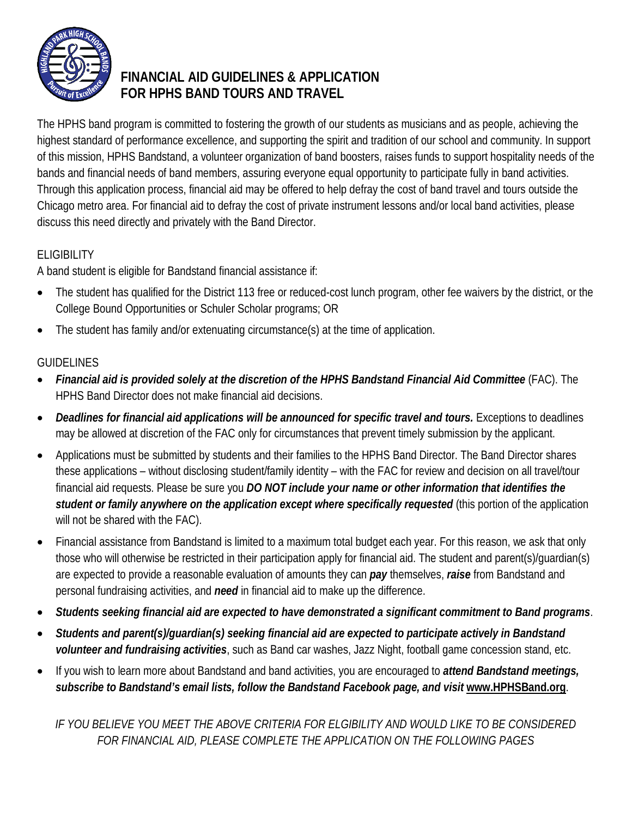

# **FINANCIAL AID GUIDELINES & APPLICATION FOR HPHS BAND TOURS AND TRAVEL**

The HPHS band program is committed to fostering the growth of our students as musicians and as people, achieving the highest standard of performance excellence, and supporting the spirit and tradition of our school and community. In support of this mission, HPHS Bandstand, a volunteer organization of band boosters, raises funds to support hospitality needs of the bands and financial needs of band members, assuring everyone equal opportunity to participate fully in band activities. Through this application process, financial aid may be offered to help defray the cost of band travel and tours outside the Chicago metro area. For financial aid to defray the cost of private instrument lessons and/or local band activities, please discuss this need directly and privately with the Band Director.

## ELIGIBILITY

A band student is eligible for Bandstand financial assistance if:

- The student has qualified for the District 113 free or reduced-cost lunch program, other fee waivers by the district, or the College Bound Opportunities or Schuler Scholar programs; OR
- The student has family and/or extenuating circumstance(s) at the time of application.

## GUIDELINES

- *Financial aid is provided solely at the discretion of the HPHS Bandstand Financial Aid Committee* (FAC). The HPHS Band Director does not make financial aid decisions.
- *Deadlines for financial aid applications will be announced for specific travel and tours.* Exceptions to deadlines may be allowed at discretion of the FAC only for circumstances that prevent timely submission by the applicant.
- Applications must be submitted by students and their families to the HPHS Band Director. The Band Director shares these applications – without disclosing student/family identity – with the FAC for review and decision on all travel/tour financial aid requests. Please be sure you *DO NOT include your name or other information that identifies the student or family anywhere on the application except where specifically requested* (this portion of the application will not be shared with the FAC).
- Financial assistance from Bandstand is limited to a maximum total budget each year. For this reason, we ask that only those who will otherwise be restricted in their participation apply for financial aid. The student and parent(s)/guardian(s) are expected to provide a reasonable evaluation of amounts they can *pay* themselves, *raise* from Bandstand and personal fundraising activities, and *need* in financial aid to make up the difference.
- *Students seeking financial aid are expected to have demonstrated a significant commitment to Band programs*.
- *Students and parent(s)/guardian(s) seeking financial aid are expected to participate actively in Bandstand volunteer and fundraising activities*, such as Band car washes, Jazz Night, football game concession stand, etc.
- If you wish to learn more about Bandstand and band activities, you are encouraged to *attend Bandstand meetings, subscribe to Bandstand's email lists, follow the Bandstand Facebook page, and visit* **www.HPHSBand.org**.

*IF YOU BELIEVE YOU MEET THE ABOVE CRITERIA FOR ELGIBILITY AND WOULD LIKE TO BE CONSIDERED FOR FINANCIAL AID, PLEASE COMPLETE THE APPLICATION ON THE FOLLOWING PAGES*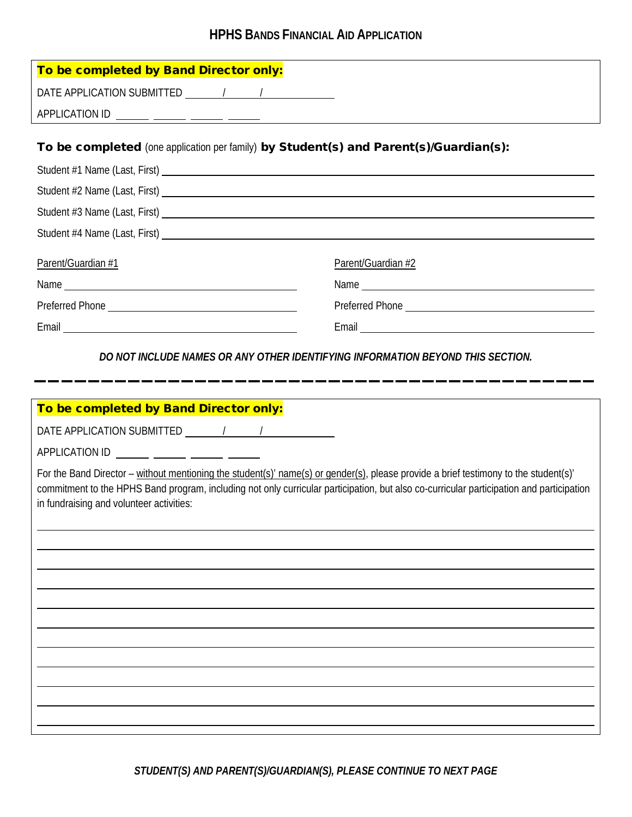## **HPHS BANDS FINANCIAL AID APPLICATION**

| To be completed by Band Director only:                                                                                                                                                                                                                                                                                       |                    |
|------------------------------------------------------------------------------------------------------------------------------------------------------------------------------------------------------------------------------------------------------------------------------------------------------------------------------|--------------------|
| DATE APPLICATION SUBMITTED 1997                                                                                                                                                                                                                                                                                              |                    |
|                                                                                                                                                                                                                                                                                                                              |                    |
|                                                                                                                                                                                                                                                                                                                              |                    |
| To be completed (one application per family) by Student(s) and Parent(s)/Guardian(s):                                                                                                                                                                                                                                        |                    |
| Student #1 Name (Last, First)<br>Student #1 Name (Last, First)                                                                                                                                                                                                                                                               |                    |
| Student #2 Name (Last, First)                                                                                                                                                                                                                                                                                                |                    |
| Student #3 Name (Last, First) Later and the state of the state of the state of the state of the state of the state of the state of the state of the state of the state of the state of the state of the state of the state of                                                                                                |                    |
| Student #4 Name (Last, First)                                                                                                                                                                                                                                                                                                |                    |
| Parent/Guardian #1                                                                                                                                                                                                                                                                                                           | Parent/Guardian #2 |
|                                                                                                                                                                                                                                                                                                                              |                    |
|                                                                                                                                                                                                                                                                                                                              |                    |
| Email experience and the contract of the contract of the contract of the contract of the contract of the contract of the contract of the contract of the contract of the contract of the contract of the contract of the contr                                                                                               |                    |
| DO NOT INCLUDE NAMES OR ANY OTHER IDENTIFYING INFORMATION BEYOND THIS SECTION.                                                                                                                                                                                                                                               |                    |
|                                                                                                                                                                                                                                                                                                                              |                    |
| To be completed by Band Director only:                                                                                                                                                                                                                                                                                       |                    |
|                                                                                                                                                                                                                                                                                                                              |                    |
| APPLICATION ID ______ _____ _____ _____ _____                                                                                                                                                                                                                                                                                |                    |
| For the Band Director – without mentioning the student(s)' name(s) or gender(s), please provide a brief testimony to the student(s)'<br>commitment to the HPHS Band program, including not only curricular participation, but also co-curricular participation and participation<br>in fundraising and volunteer activities: |                    |
|                                                                                                                                                                                                                                                                                                                              |                    |
|                                                                                                                                                                                                                                                                                                                              |                    |
|                                                                                                                                                                                                                                                                                                                              |                    |
|                                                                                                                                                                                                                                                                                                                              |                    |
|                                                                                                                                                                                                                                                                                                                              |                    |
|                                                                                                                                                                                                                                                                                                                              |                    |
|                                                                                                                                                                                                                                                                                                                              |                    |
|                                                                                                                                                                                                                                                                                                                              |                    |
|                                                                                                                                                                                                                                                                                                                              |                    |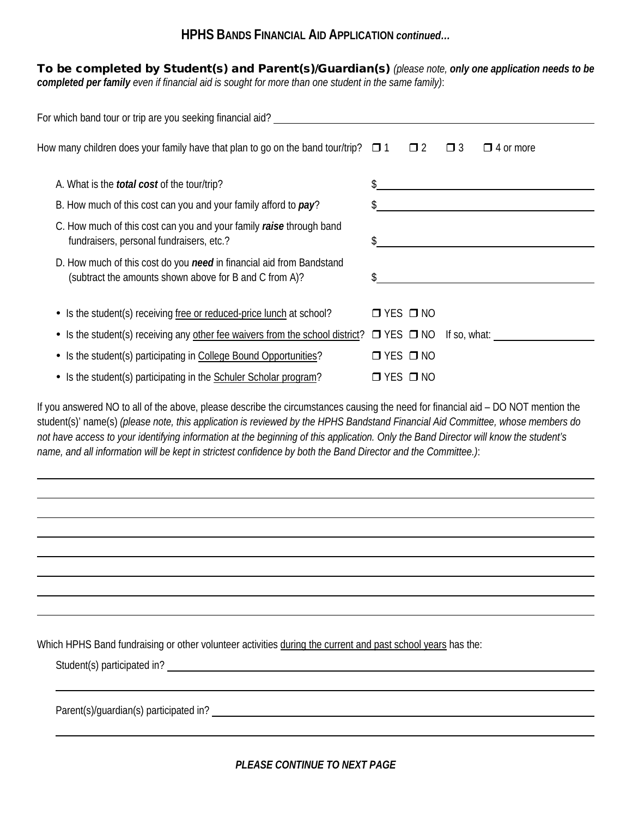#### **HPHS BANDS FINANCIAL AID APPLICATION** *continued…*

To be completed by Student(s) and Parent(s)/Guardian(s) *(please note, only one application needs to be completed per family even if financial aid is sought for more than one student in the same family)*:

| For which band tour or trip are you seeking financial aid?                                                                     |                                      |  |  |  |
|--------------------------------------------------------------------------------------------------------------------------------|--------------------------------------|--|--|--|
| How many children does your family have that plan to go on the band tour/trip? $\Box$ 1 $\Box$ 2                               | $\Box$ 3<br>$\Box$ 4 or more         |  |  |  |
| A. What is the <i>total cost</i> of the tour/trip?                                                                             |                                      |  |  |  |
| B. How much of this cost can you and your family afford to pay?                                                                |                                      |  |  |  |
| C. How much of this cost can you and your family raise through band<br>fundraisers, personal fundraisers, etc.?                |                                      |  |  |  |
| D. How much of this cost do you need in financial aid from Bandstand<br>(subtract the amounts shown above for B and C from A)? |                                      |  |  |  |
| • Is the student(s) receiving free or reduced-price lunch at school?                                                           | $\Box$ YES $\Box$ NO                 |  |  |  |
| • Is the student(s) receiving any other fee waivers from the school district?                                                  | $\Box$ YES $\Box$ NO<br>If so, what: |  |  |  |
| • Is the student(s) participating in College Bound Opportunities?                                                              | $\Box$ YES $\Box$ NO                 |  |  |  |
| • Is the student(s) participating in the Schuler Scholar program?                                                              | $\Box$ YES $\Box$ NO                 |  |  |  |

If you answered NO to all of the above, please describe the circumstances causing the need for financial aid – DO NOT mention the student(s)' name(s) *(please note, this application is reviewed by the HPHS Bandstand Financial Aid Committee, whose members do not have access to your identifying information at the beginning of this application. Only the Band Director will know the student's name, and all information will be kept in strictest confidence by both the Band Director and the Committee.)*:

Which HPHS Band fundraising or other volunteer activities during the current and past school years has the:

Student(s) participated in?

Parent(s)/guardian(s) participated in?